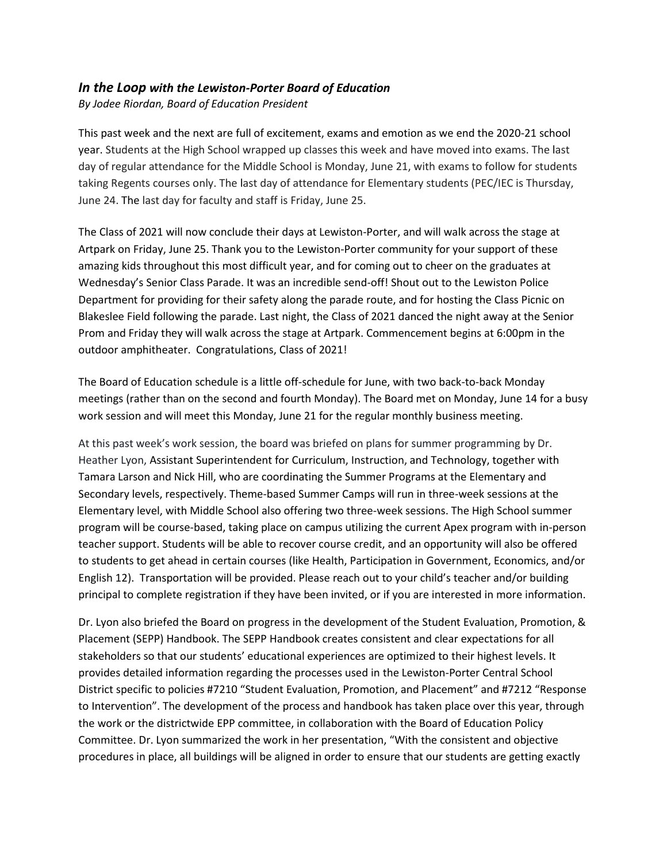## *In the Loop with the Lewiston-Porter Board of Education*

*By Jodee Riordan, Board of Education President*

This past week and the next are full of excitement, exams and emotion as we end the 2020-21 school year. Students at the High School wrapped up classes this week and have moved into exams. The last day of regular attendance for the Middle School is Monday, June 21, with exams to follow for students taking Regents courses only. The last day of attendance for Elementary students (PEC/IEC is Thursday, June 24. The last day for faculty and staff is Friday, June 25.

The Class of 2021 will now conclude their days at Lewiston-Porter, and will walk across the stage at Artpark on Friday, June 25. Thank you to the Lewiston-Porter community for your support of these amazing kids throughout this most difficult year, and for coming out to cheer on the graduates at Wednesday's Senior Class Parade. It was an incredible send-off! Shout out to the Lewiston Police Department for providing for their safety along the parade route, and for hosting the Class Picnic on Blakeslee Field following the parade. Last night, the Class of 2021 danced the night away at the Senior Prom and Friday they will walk across the stage at Artpark. Commencement begins at 6:00pm in the outdoor amphitheater. Congratulations, Class of 2021!

The Board of Education schedule is a little off-schedule for June, with two back-to-back Monday meetings (rather than on the second and fourth Monday). The Board met on Monday, June 14 for a busy work session and will meet this Monday, June 21 for the regular monthly business meeting.

At this past week's work session, the board was briefed on plans for summer programming by Dr. Heather Lyon, Assistant Superintendent for Curriculum, Instruction, and Technology, together with Tamara Larson and Nick Hill, who are coordinating the Summer Programs at the Elementary and Secondary levels, respectively. Theme-based Summer Camps will run in three-week sessions at the Elementary level, with Middle School also offering two three-week sessions. The High School summer program will be course-based, taking place on campus utilizing the current Apex program with in-person teacher support. Students will be able to recover course credit, and an opportunity will also be offered to students to get ahead in certain courses (like Health, Participation in Government, Economics, and/or English 12). Transportation will be provided. Please reach out to your child's teacher and/or building principal to complete registration if they have been invited, or if you are interested in more information.

Dr. Lyon also briefed the Board on progress in the development of the Student Evaluation, Promotion, & Placement (SEPP) Handbook. The SEPP Handbook creates consistent and clear expectations for all stakeholders so that our students' educational experiences are optimized to their highest levels. It provides detailed information regarding the processes used in the Lewiston-Porter Central School District specific to policies #7210 "Student Evaluation, Promotion, and Placement" and #7212 "Response to Intervention". The development of the process and handbook has taken place over this year, through the work or the districtwide EPP committee, in collaboration with the Board of Education Policy Committee. Dr. Lyon summarized the work in her presentation, "With the consistent and objective procedures in place, all buildings will be aligned in order to ensure that our students are getting exactly